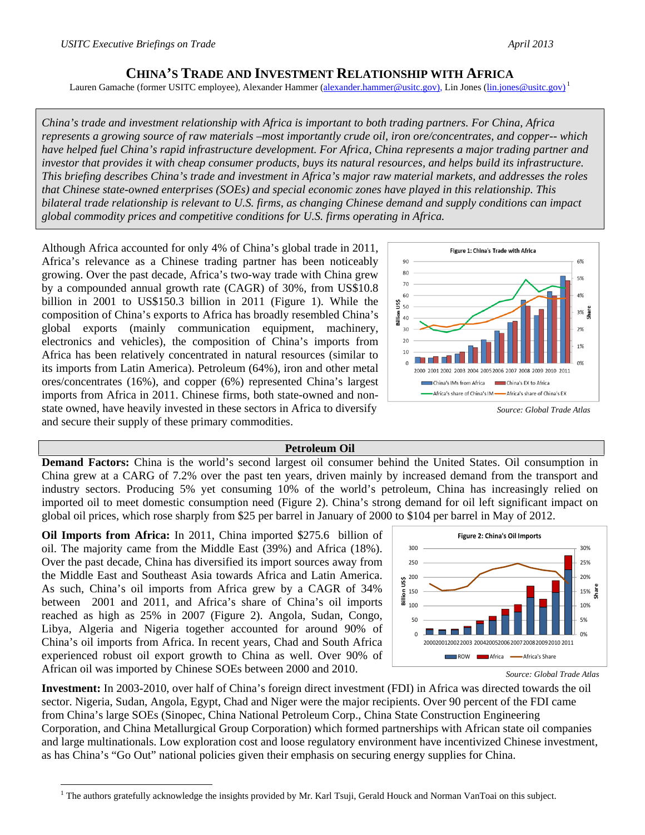## **CHINA'S TRADE AND INVESTMENT RELATIONSHIP WITH AFRICA**

Lauren Gamache (former USITC employee), Alexander Hammer (alexander.hammer@usitc.gov), Lin Jones (lin.jones@usitc.gov)<sup>1</sup>

*China's trade and investment relationship with Africa is important to both trading partners. For China, Africa represents a growing source of raw materials –most importantly crude oil, iron ore/concentrates, and copper-- which have helped fuel China's rapid infrastructure development. For Africa, China represents a major trading partner and investor that provides it with cheap consumer products, buys its natural resources, and helps build its infrastructure. This briefing describes China's trade and investment in Africa's major raw material markets, and addresses the roles that Chinese state-owned enterprises (SOEs) and special economic zones have played in this relationship. This bilateral trade relationship is relevant to U.S. firms, as changing Chinese demand and supply conditions can impact global commodity prices and competitive conditions for U.S. firms operating in Africa.* 

Although Africa accounted for only 4% of China's global trade in 2011, Africa's relevance as a Chinese trading partner has been noticeably growing. Over the past decade, Africa's two-way trade with China grew by a compounded annual growth rate (CAGR) of 30%, from US\$10.8 billion in 2001 to US\$150.3 billion in 2011 (Figure 1). While the composition of China's exports to Africa has broadly resembled China's global exports (mainly communication equipment, machinery, electronics and vehicles), the composition of China's imports from Africa has been relatively concentrated in natural resources (similar to its imports from Latin America). Petroleum (64%), iron and other metal ores/concentrates (16%), and copper (6%) represented China's largest imports from Africa in 2011. Chinese firms, both state-owned and nonstate owned, have heavily invested in these sectors in Africa to diversify and secure their supply of these primary commodities.



*Source: Global Trade Atlas*

## **Petroleum Oil**

**Demand Factors:** China is the world's second largest oil consumer behind the United States. Oil consumption in China grew at a CARG of 7.2% over the past ten years, driven mainly by increased demand from the transport and industry sectors. Producing 5% yet consuming 10% of the world's petroleum, China has increasingly relied on imported oil to meet domestic consumption need (Figure 2). China's strong demand for oil left significant impact on global oil prices, which rose sharply from \$25 per barrel in January of 2000 to \$104 per barrel in May of 2012.

**Oil Imports from Africa:** In 2011, China imported \$275.6 billion of oil. The majority came from the Middle East (39%) and Africa (18%). Over the past decade, China has diversified its import sources away from the Middle East and Southeast Asia towards Africa and Latin America. As such, China's oil imports from Africa grew by a CAGR of 34% between 2001 and 2011, and Africa's share of China's oil imports reached as high as 25% in 2007 (Figure 2). Angola, Sudan, Congo, Libya, Algeria and Nigeria together accounted for around 90% of China's oil imports from Africa. In recent years, Chad and South Africa experienced robust oil export growth to China as well. Over 90% of African oil was imported by Chinese SOEs between 2000 and 2010.

 $\overline{a}$ 



*Source: Global Trade Atlas*

**Investment:** In 2003-2010, over half of China's foreign direct investment (FDI) in Africa was directed towards the oil sector. Nigeria, Sudan, Angola, Egypt, Chad and Niger were the major recipients. Over 90 percent of the FDI came from China's large SOEs (Sinopec, China National Petroleum Corp., China State Construction Engineering Corporation, and China Metallurgical Group Corporation) which formed partnerships with African state oil companies and large multinationals. Low exploration cost and loose regulatory environment have incentivized Chinese investment, as has China's "Go Out" national policies given their emphasis on securing energy supplies for China.

<sup>&</sup>lt;sup>1</sup> The authors gratefully acknowledge the insights provided by Mr. Karl Tsuji, Gerald Houck and Norman VanToai on this subject.